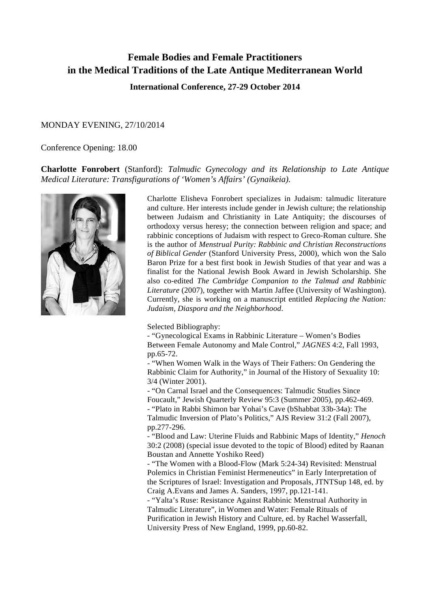## **Female Bodies and Female Practitioners in the Medical Traditions of the Late Antique Mediterranean World**

**International Conference, 27-29 October 2014**

#### MONDAY EVENING, 27/10/2014

## Conference Opening: 18.00

## **Charlotte Fonrobert** (Stanford): *Talmudic Gynecology and its Relationship to Late Antique Medical Literature: Transfigurations of 'Women's Affairs' (Gynaikeia).*



Charlotte Elisheva Fonrobert specializes in Judaism: talmudic literature and culture. Her interests include gender in Jewish culture; the relationship between Judaism and Christianity in Late Antiquity; the discourses of orthodoxy versus heresy; the connection between religion and space; and rabbinic conceptions of Judaism with respect to Greco-Roman culture. She is the author of *Menstrual Purity: Rabbinic and Christian Reconstructions of Biblical Gender* (Stanford University Press, 2000), which won the Salo Baron Prize for a best first book in Jewish Studies of that year and was a finalist for the National Jewish Book Award in Jewish Scholarship. She also co-edited *The Cambridge Companion to the Talmud and Rabbinic Literature* (2007), together with Martin Jaffee (University of Washington). Currently, she is working on a manuscript entitled *Replacing the Nation: Judaism, Diaspora and the Neighborhood*.

Selected Bibliography:

- "Gynecological Exams in Rabbinic Literature – Women's Bodies Between Female Autonomy and Male Control," *JAGNES* 4:2, Fall 1993, pp.65-72.

- "When Women Walk in the Ways of Their Fathers: On Gendering the Rabbinic Claim for Authority," in Journal of the History of Sexuality 10: 3/4 (Winter 2001).

- "On Carnal Israel and the Consequences: Talmudic Studies Since Foucault," Jewish Quarterly Review 95:3 (Summer 2005), pp.462-469. - "Plato in Rabbi Shimon bar Yohai's Cave (bShabbat 33b-34a): The Talmudic Inversion of Plato's Politics," AJS Review 31:2 (Fall 2007), pp.277-296.

- "Blood and Law: Uterine Fluids and Rabbinic Maps of Identity," *Henoch* 30:2 (2008) (special issue devoted to the topic of Blood) edited by Raanan Boustan and Annette Yoshiko Reed)

- "The Women with a Blood-Flow (Mark 5:24-34) Revisited: Menstrual Polemics in Christian Feminist Hermeneutics" in Early Interpretation of the Scriptures of Israel: Investigation and Proposals, JTNTSup 148, ed. by Craig A.Evans and James A. Sanders, 1997, pp.121-141.

- "Yalta's Ruse: Resistance Against Rabbinic Menstrual Authority in Talmudic Literature", in Women and Water: Female Rituals of Purification in Jewish History and Culture, ed. by Rachel Wasserfall, University Press of New England, 1999, pp.60-82.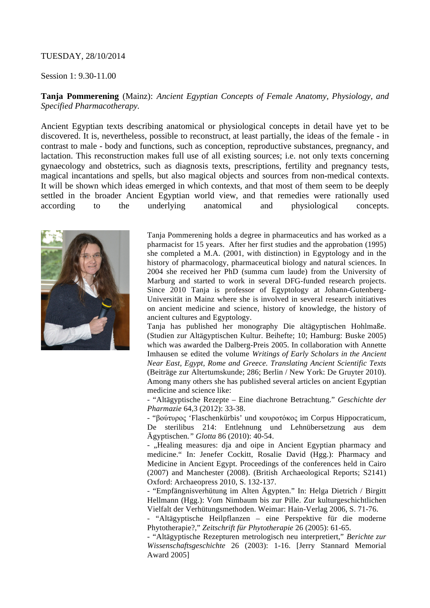## TUESDAY, 28/10/2014

## Session 1: 9.30-11.00

**Tanja Pommerening** (Mainz): *Ancient Egyptian Concepts of Female Anatomy, Physiology, and Specified Pharmacotherapy.*

Ancient Egyptian texts describing anatomical or physiological concepts in detail have yet to be discovered. It is, nevertheless, possible to reconstruct, at least partially, the ideas of the female - in contrast to male - body and functions, such as conception, reproductive substances, pregnancy, and lactation. This reconstruction makes full use of all existing sources; i.e. not only texts concerning gynaecology and obstetrics, such as diagnosis texts, prescriptions, fertility and pregnancy tests, magical incantations and spells, but also magical objects and sources from non-medical contexts. It will be shown which ideas emerged in which contexts, and that most of them seem to be deeply settled in the broader Ancient Egyptian world view, and that remedies were rationally used according to the underlying anatomical and physiological concepts.



Tanja Pommerening holds a degree in pharmaceutics and has worked as a pharmacist for 15 years. After her first studies and the approbation (1995) she completed a M.A. (2001, with distinction) in Egyptology and in the history of pharmacology, pharmaceutical biology and natural sciences. In 2004 she received her PhD (summa cum laude) from the University of Marburg and started to work in several DFG-funded research projects. Since 2010 Tanja is professor of Egyptology at Johann-Gutenberg-Universität in Mainz where she is involved in several research initiatives on ancient medicine and science, history of knowledge, the history of ancient cultures and Egyptology.

Tanja has published her monography Die altägyptischen Hohlmaße. (Studien zur Altägyptischen Kultur. Beihefte; 10; Hamburg: Buske 2005) which was awarded the Dalberg-Preis 2005. In collaboration with Annette Imhausen se edited the volume *Writings of Early Scholars in the Ancient Near East, Egypt, Rome and Greece. Translating Ancient Scientific Texts* (Beiträge zur Altertumskunde; 286; Berlin / New York: De Gruyter 2010). Among many others she has published several articles on ancient Egyptian medicine and science like:

- "Altägyptische Rezepte – Eine diachrone Betrachtung." *Geschichte der Pharmazie* 64,3 (2012): 33-38.

- "βούτυρος 'Flaschenkürbis' und κουροτόκος im Corpus Hippocraticum, De sterilibus 214: Entlehnung und Lehnübersetzung aus dem Ägyptischen*." Glotta* 86 (2010): 40-54.

- "Healing measures: dja and oipe in Ancient Egyptian pharmacy and medicine." In: Jenefer Cockitt, Rosalie David (Hgg.): Pharmacy and Medicine in Ancient Egypt. Proceedings of the conferences held in Cairo (2007) and Manchester (2008). (British Archaeological Reports; S2141) Oxford: Archaeopress 2010, S. 132-137.

- "Empfängnisverhütung im Alten Ägypten." In: Helga Dietrich / Birgitt Hellmann (Hgg.): Vom Nimbaum bis zur Pille. Zur kulturgeschichtlichen Vielfalt der Verhütungsmethoden. Weimar: Hain-Verlag 2006, S. 71-76.

- "Altägyptische Heilpflanzen – eine Perspektive für die moderne Phytotherapie?," *Zeitschrift für Phytotherapie* 26 (2005): 61-65.

- "Altägyptische Rezepturen metrologisch neu interpretiert," *Berichte zur Wissenschaftsgeschichte* 26 (2003): 1-16. [Jerry Stannard Memorial Award 2005]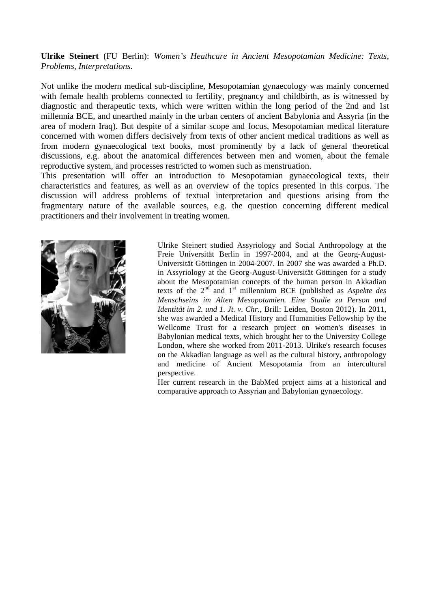**Ulrike Steinert** (FU Berlin): *Women's Heathcare in Ancient Mesopotamian Medicine: Texts, Problems, Interpretations.*

Not unlike the modern medical sub-discipline, Mesopotamian gynaecology was mainly concerned with female health problems connected to fertility, pregnancy and childbirth, as is witnessed by diagnostic and therapeutic texts, which were written within the long period of the 2nd and 1st millennia BCE, and unearthed mainly in the urban centers of ancient Babylonia and Assyria (in the area of modern Iraq). But despite of a similar scope and focus, Mesopotamian medical literature concerned with women differs decisively from texts of other ancient medical traditions as well as from modern gynaecological text books, most prominently by a lack of general theoretical discussions, e.g. about the anatomical differences between men and women, about the female reproductive system, and processes restricted to women such as menstruation.

This presentation will offer an introduction to Mesopotamian gynaecological texts, their characteristics and features, as well as an overview of the topics presented in this corpus. The discussion will address problems of textual interpretation and questions arising from the fragmentary nature of the available sources, e.g. the question concerning different medical practitioners and their involvement in treating women.



Ulrike Steinert studied Assyriology and Social Anthropology at the Freie Universität Berlin in 1997-2004, and at the Georg-August-Universität Göttingen in 2004-2007. In 2007 she was awarded a Ph.D. in Assyriology at the Georg-August-Universität Göttingen for a study about the Mesopotamian concepts of the human person in Akkadian texts of the  $2<sup>nd</sup>$  and  $1<sup>st</sup>$  millennium BCE (published as *Aspekte des Menschseins im Alten Mesopotamien. Eine Studie zu Person und Identität im 2. und 1. Jt. v. Chr.*, Brill: Leiden, Boston 2012). In 2011, she was awarded a Medical History and Humanities Fellowship by the Wellcome Trust for a research project on women's diseases in Babylonian medical texts, which brought her to the University College London, where she worked from 2011-2013. Ulrike's research focuses on the Akkadian language as well as the cultural history, anthropology and medicine of Ancient Mesopotamia from an intercultural perspective.

Her current research in the BabMed project aims at a historical and comparative approach to Assyrian and Babylonian gynaecology.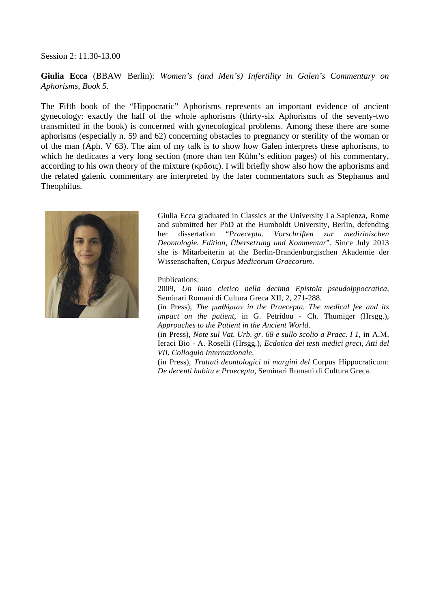#### Session 2: 11.30-13.00

**Giulia Ecca** (BBAW Berlin): *Women's (and Men's) Infertility in Galen's Commentary on Aphorisms, Book 5.*

The Fifth book of the "Hippocratic" Aphorisms represents an important evidence of ancient gynecology: exactly the half of the whole aphorisms (thirty-six Aphorisms of the seventy-two transmitted in the book) is concerned with gynecological problems. Among these there are some aphorisms (especially n. 59 and 62) concerning obstacles to pregnancy or sterility of the woman or of the man (Aph. V 63). The aim of my talk is to show how Galen interprets these aphorisms, to which he dedicates a very long section (more than ten Kühn's edition pages) of his commentary, according to his own theory of the mixture (κρᾶσις). I will briefly show also how the aphorisms and the related galenic commentary are interpreted by the later commentators such as Stephanus and Theophilus.



Giulia Ecca graduated in Classics at the University La Sapienza, Rome and submitted her PhD at the Humboldt University, Berlin, defending her dissertation "*Praecepta. Vorschriften zur medizinischen Deontologie. Edition, Übersetzung und Kommentar*". Since July 2013 she is Mitarbeiterin at the Berlin-Brandenburgischen Akademie der Wissenschaften, *Corpus Medicorum Graecorum*.

Publications:

2009, *Un inno cletico nella decima Epistola pseudoippocratica*, Seminari Romani di Cultura Greca XII, 2, 271-288.

(in Press), *The µισθάριον in the Praecepta. The medical fee and its impact on the patient*, in G. Petridou - Ch. Thumiger (Hrsgg.), *Approaches to the Patient in the Ancient World*.

(in Press), *Note sul Vat. Urb. gr. 68 e sullo scolio a Praec. I 1*, in A.M. Ieraci Bio - A. Roselli (Hrsgg.), *Ecdotica dei testi medici greci, Atti del VII. Colloquio Internazionale*.

(in Press), *Trattati deontologici ai margini del* Corpus Hippocraticum*: De decenti habitu e Praecepta,* Seminari Romani di Cultura Greca.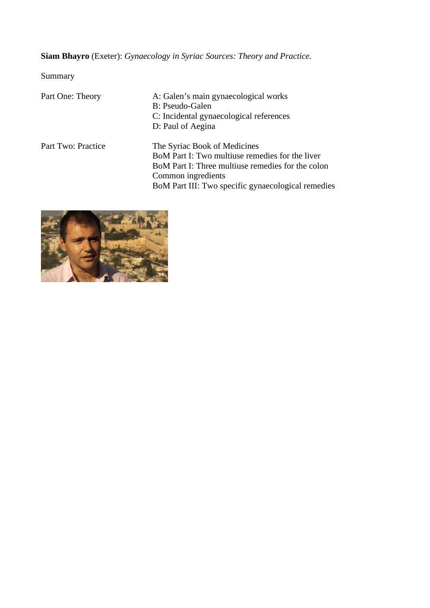# **Siam Bhayro** (Exeter): *Gynaecology in Syriac Sources: Theory and Practice.*

Summary

| Part One: Theory   | A: Galen's main gynaecological works<br>B: Pseudo-Galen<br>C: Incidental gynaecological references<br>D: Paul of Aegina                                    |
|--------------------|------------------------------------------------------------------------------------------------------------------------------------------------------------|
| Part Two: Practice | The Syriac Book of Medicines<br>BoM Part I: Two multiuse remedies for the liver<br>BoM Part I: Three multiuse remedies for the colon<br>Common ingredients |
|                    | BoM Part III: Two specific gynaecological remedies                                                                                                         |

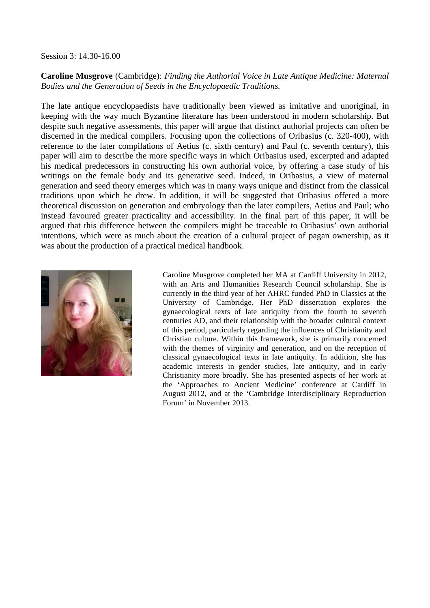Session 3: 14.30-16.00

## **Caroline Musgrove** (Cambridge): *Finding the Authorial Voice in Late Antique Medicine: Maternal Bodies and the Generation of Seeds in the Encyclopaedic Traditions.*

The late antique encyclopaedists have traditionally been viewed as imitative and unoriginal, in keeping with the way much Byzantine literature has been understood in modern scholarship. But despite such negative assessments, this paper will argue that distinct authorial projects can often be discerned in the medical compilers. Focusing upon the collections of Oribasius (c. 320-400), with reference to the later compilations of Aetius (c. sixth century) and Paul (c. seventh century), this paper will aim to describe the more specific ways in which Oribasius used, excerpted and adapted his medical predecessors in constructing his own authorial voice, by offering a case study of his writings on the female body and its generative seed. Indeed, in Oribasius, a view of maternal generation and seed theory emerges which was in many ways unique and distinct from the classical traditions upon which he drew. In addition, it will be suggested that Oribasius offered a more theoretical discussion on generation and embryology than the later compilers, Aetius and Paul; who instead favoured greater practicality and accessibility. In the final part of this paper, it will be argued that this difference between the compilers might be traceable to Oribasius' own authorial intentions, which were as much about the creation of a cultural project of pagan ownership, as it was about the production of a practical medical handbook.



Caroline Musgrove completed her MA at Cardiff University in 2012, with an Arts and Humanities Research Council scholarship. She is currently in the third year of her AHRC funded PhD in Classics at the University of Cambridge. Her PhD dissertation explores the gynaecological texts of late antiquity from the fourth to seventh centuries AD, and their relationship with the broader cultural context of this period, particularly regarding the influences of Christianity and Christian culture. Within this framework, she is primarily concerned with the themes of virginity and generation, and on the reception of classical gynaecological texts in late antiquity. In addition, she has academic interests in gender studies, late antiquity, and in early Christianity more broadly. She has presented aspects of her work at the 'Approaches to Ancient Medicine' conference at Cardiff in August 2012, and at the 'Cambridge Interdisciplinary Reproduction Forum' in November 2013.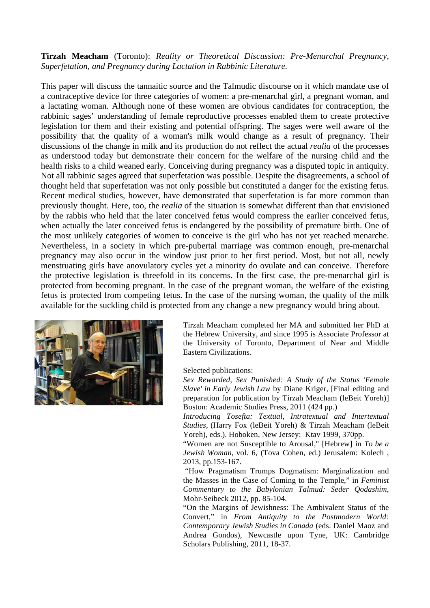**Tirzah Meacham** (Toronto): *Reality or Theoretical Discussion: Pre-Menarchal Pregnancy, Superfetation, and Pregnancy during Lactation in Rabbinic Literature.*

This paper will discuss the tannaitic source and the Talmudic discourse on it which mandate use of a contraceptive device for three categories of women: a pre-menarchal girl, a pregnant woman, and a lactating woman. Although none of these women are obvious candidates for contraception, the rabbinic sages' understanding of female reproductive processes enabled them to create protective legislation for them and their existing and potential offspring. The sages were well aware of the possibility that the quality of a woman's milk would change as a result of pregnancy. Their discussions of the change in milk and its production do not reflect the actual *realia* of the processes as understood today but demonstrate their concern for the welfare of the nursing child and the health risks to a child weaned early. Conceiving during pregnancy was a disputed topic in antiquity. Not all rabbinic sages agreed that superfetation was possible. Despite the disagreements, a school of thought held that superfetation was not only possible but constituted a danger for the existing fetus. Recent medical studies, however, have demonstrated that superfetation is far more common than previously thought. Here, too, the *realia* of the situation is somewhat different than that envisioned by the rabbis who held that the later conceived fetus would compress the earlier conceived fetus, when actually the later conceived fetus is endangered by the possibility of premature birth. One of the most unlikely categories of women to conceive is the girl who has not yet reached menarche. Nevertheless, in a society in which pre-pubertal marriage was common enough, pre-menarchal pregnancy may also occur in the window just prior to her first period. Most, but not all, newly menstruating girls have anovulatory cycles yet a minority do ovulate and can conceive. Therefore the protective legislation is threefold in its concerns. In the first case, the pre-menarchal girl is protected from becoming pregnant. In the case of the pregnant woman, the welfare of the existing fetus is protected from competing fetus. In the case of the nursing woman, the quality of the milk available for the suckling child is protected from any change a new pregnancy would bring about.



Tirzah Meacham completed her MA and submitted her PhD at the Hebrew University, and since 1995 is Associate Professor at the University of Toronto, Department of Near and Middle Eastern Civilizations.

Selected publications:

*Sex Rewarded, Sex Punished: A Study of the Status 'Female Slave' in Early Jewish Law* by Diane Kriger, [Final editing and preparation for publication by Tirzah Meacham (leBeit Yoreh)] Boston: Academic Studies Press, 2011 (424 pp.)

*Introducing Tosefta: Textual, Intratextual and Intertextual Studies,* (Harry Fox (leBeit Yoreh) & Tirzah Meacham (leBeit Yoreh), eds.). Hoboken, New Jersey: Ktav 1999, 370pp.

"Women are not Susceptible to Arousal," [Hebrew] in *To be a Jewish Woman,* vol. 6, (Tova Cohen, ed.) Jerusalem: Kolech , 2013, pp.153-167.

"How Pragmatism Trumps Dogmatism: Marginalization and the Masses in the Case of Coming to the Temple," in *Feminist Commentary to the Babylonian Talmud: Seder Qodashim*, Mohr-Seibeck 2012, pp. 85-104.

"On the Margins of Jewishness: The Ambivalent Status of the Convert," in *From Antiquity to the Postmodern World: Contemporary Jewish Studies in Canada* (eds. Daniel Maoz and Andrea Gondos), Newcastle upon Tyne, UK: Cambridge Scholars Publishing, 2011, 18-37.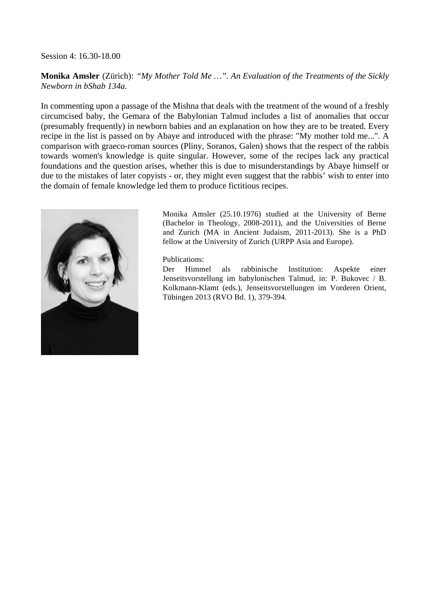Session 4: 16.30-18.00

**Monika Amsler** (Zürich): *"My Mother Told Me …". An Evaluation of the Treatments of the Sickly Newborn in bShab 134a.*

In commenting upon a passage of the Mishna that deals with the treatment of the wound of a freshly circumcised baby, the Gemara of the Babylonian Talmud includes a list of anomalies that occur (presumably frequently) in newborn babies and an explanation on how they are to be treated. Every recipe in the list is passed on by Abaye and introduced with the phrase: "My mother told me...". A comparison with graeco-roman sources (Pliny, Soranos, Galen) shows that the respect of the rabbis towards women's knowledge is quite singular. However, some of the recipes lack any practical foundations and the question arises, whether this is due to misunderstandings by Abaye himself or due to the mistakes of later copyists - or, they might even suggest that the rabbis' wish to enter into the domain of female knowledge led them to produce fictitious recipes.



Monika Amsler (25.10.1976) studied at the University of Berne (Bachelor in Theology, 2008-2011), and the Universities of Berne and Zurich (MA in Ancient Judaism, 2011-2013). She is a PhD fellow at the University of Zurich (URPP Asia and Europe).

Publications:

Der Himmel als rabbinische Institution: Aspekte einer Jenseitsvorstellung im babylonischen Talmud, in: P. Bukovec / B. Kolkmann-Klamt (eds.), Jenseitsvorstellungen im Vorderen Orient, Tübingen 2013 (RVO Bd. 1), 379-394.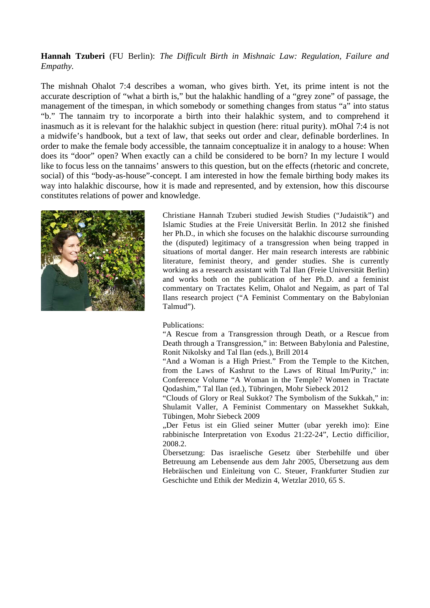## **Hannah Tzuberi** (FU Berlin): *The Difficult Birth in Mishnaic Law: Regulation, Failure and Empathy.*

The mishnah Ohalot 7:4 describes a woman, who gives birth. Yet, its prime intent is not the accurate description of "what a birth is," but the halakhic handling of a "grey zone" of passage, the management of the timespan, in which somebody or something changes from status "a" into status "b." The tannaim try to incorporate a birth into their halakhic system, and to comprehend it inasmuch as it is relevant for the halakhic subject in question (here: ritual purity). mOhal 7:4 is not a midwife's handbook, but a text of law, that seeks out order and clear, definable borderlines. In order to make the female body accessible, the tannaim conceptualize it in analogy to a house: When does its "door" open? When exactly can a child be considered to be born? In my lecture I would like to focus less on the tannaims' answers to this question, but on the effects (rhetoric and concrete, social) of this "body-as-house"-concept. I am interested in how the female birthing body makes its way into halakhic discourse, how it is made and represented, and by extension, how this discourse constitutes relations of power and knowledge.



Christiane Hannah Tzuberi studied Jewish Studies ("Judaistik") and Islamic Studies at the Freie Universität Berlin. In 2012 she finished her Ph.D., in which she focuses on the halakhic discourse surrounding the (disputed) legitimacy of a transgression when being trapped in situations of mortal danger. Her main research interests are rabbinic literature, feminist theory, and gender studies. She is currently working as a research assistant with Tal Ilan (Freie Universität Berlin) and works both on the publication of her Ph.D. and a feminist commentary on Tractates Kelim, Ohalot and Negaim, as part of Tal Ilans research project ("A Feminist Commentary on the Babylonian Talmud").

#### Publications:

"A Rescue from a Transgression through Death, or a Rescue from Death through a Transgression," in: Between Babylonia and Palestine, Ronit Nikolsky and Tal Ilan (eds.), Brill 2014

"And a Woman is a High Priest." From the Temple to the Kitchen, from the Laws of Kashrut to the Laws of Ritual Im/Purity," in: Conference Volume "A Woman in the Temple? Women in Tractate Qodashim," Tal Ilan (ed.), Tübringen, Mohr Siebeck 2012

"Clouds of Glory or Real Sukkot? The Symbolism of the Sukkah," in: Shulamit Valler, A Feminist Commentary on Massekhet Sukkah, Tübingen, Mohr Siebeck 2009

"Der Fetus ist ein Glied seiner Mutter (ubar yerekh imo): Eine rabbinische Interpretation von Exodus 21:22-24", Lectio difficilior, 2008.2.

Übersetzung: Das israelische Gesetz über Sterbehilfe und über Betreuung am Lebensende aus dem Jahr 2005, Übersetzung aus dem Hebräischen und Einleitung von C. Steuer, Frankfurter Studien zur Geschichte und Ethik der Medizin 4, Wetzlar 2010, 65 S.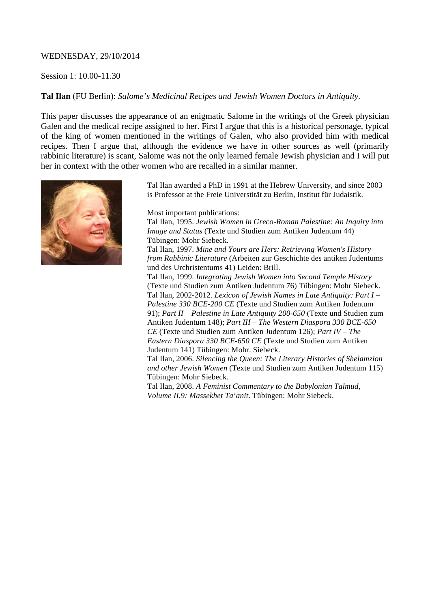## WEDNESDAY, 29/10/2014

## Session 1: 10.00-11.30

## **Tal Ilan** (FU Berlin): *Salome's Medicinal Recipes and Jewish Women Doctors in Antiquity.*

This paper discusses the appearance of an enigmatic Salome in the writings of the Greek physician Galen and the medical recipe assigned to her. First I argue that this is a historical personage, typical of the king of women mentioned in the writings of Galen, who also provided him with medical recipes. Then I argue that, although the evidence we have in other sources as well (primarily rabbinic literature) is scant, Salome was not the only learned female Jewish physician and I will put her in context with the other women who are recalled in a similar manner.



Tal Ilan awarded a PhD in 1991 at the Hebrew University, and since 2003 is Professor at the Freie Universtität zu Berlin, Institut für Judaistik.

Most important publications:

Tal Ilan, 1995. *Jewish Women in Greco-Roman Palestine: An Inquiry into Image and Status* (Texte und Studien zum Antiken Judentum 44) Tübingen: Mohr Siebeck.

Tal Ilan, 1997. *Mine and Yours are Hers: Retrieving Women's History from Rabbinic Literature* (Arbeiten zur Geschichte des antiken Judentums und des Urchristentums 41) Leiden: Brill.

Tal Ilan, 1999. *Integrating Jewish Women into Second Temple History* (Texte und Studien zum Antiken Judentum 76) Tübingen: Mohr Siebeck. Tal Ilan, 2002-2012. *Lexicon of Jewish Names in Late Antiquity: Part I – Palestine 330 BCE-200 CE* (Texte und Studien zum Antiken Judentum 91); *Part II – Palestine in Late Antiquity 200-650* (Texte und Studien zum Antiken Judentum 148); *Part III – The Western Diaspora 330 BCE-650 CE* (Texte und Studien zum Antiken Judentum 126); *Part IV – The Eastern Diaspora 330 BCE-650 CE* (Texte und Studien zum Antiken Judentum 141) Tübingen: Mohr. Siebeck.

Tal Ilan, 2006. *Silencing the Queen: The Literary Histories of Shelamzion and other Jewish Women* (Texte und Studien zum Antiken Judentum 115) Tübingen: Mohr Siebeck.

Tal Ilan, 2008. *A Feminist Commentary to the Babylonian Talmud, Volume II.9: Massekhet Ta'anit*. Tübingen: Mohr Siebeck.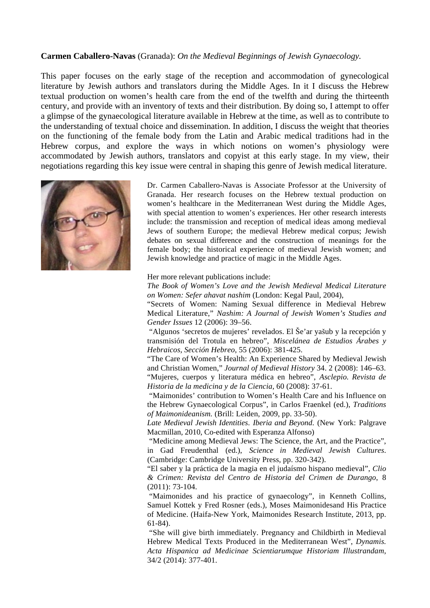#### **Carmen Caballero-Navas** (Granada): *On the Medieval Beginnings of Jewish Gynaecology.*

This paper focuses on the early stage of the reception and accommodation of gynecological literature by Jewish authors and translators during the Middle Ages. In it I discuss the Hebrew textual production on women's health care from the end of the twelfth and during the thirteenth century, and provide with an inventory of texts and their distribution. By doing so, I attempt to offer a glimpse of the gynaecological literature available in Hebrew at the time, as well as to contribute to the understanding of textual choice and dissemination. In addition, I discuss the weight that theories on the functioning of the female body from the Latin and Arabic medical traditions had in the Hebrew corpus, and explore the ways in which notions on women's physiology were accommodated by Jewish authors, translators and copyist at this early stage. In my view, their negotiations regarding this key issue were central in shaping this genre of Jewish medical literature.



Dr. Carmen Caballero-Navas is Associate Professor at the University of Granada. Her research focuses on the Hebrew textual production on women's healthcare in the Mediterranean West during the Middle Ages, with special attention to women's experiences. Her other research interests include: the transmission and reception of medical ideas among medieval Jews of southern Europe; the medieval Hebrew medical corpus; Jewish debates on sexual difference and the construction of meanings for the female body; the historical experience of medieval Jewish women; and Jewish knowledge and practice of magic in the Middle Ages.

Her more relevant publications include:

*The Book of Women's Love and the Jewish Medieval Medical Literature on Women: Sefer ahavat nashim* (London: Kegal Paul, 2004),

"Secrets of Women: Naming Sexual difference in Medieval Hebrew Medical Literature," *Nashim: A Journal of Jewish Women's Studies and Gender Issues* 12 (2006): 39–56.

"Algunos 'secretos de mujeres' revelados. El Še'ar yašub y la recepción y transmisión del Trotula en hebreo", *Miscelánea de Estudios Árabes y Hebraicos, Sección Hebreo*, 55 (2006): 381-425.

"The Care of Women's Health: An Experience Shared by Medieval Jewish and Christian Women," *Journal of Medieval History* 34. 2 (2008): 146–63. "Mujeres, cuerpos y literatura médica en hebreo", *Asclepio. Revista de Historia de la medicina y de la Ciencia,* 60 (2008): 37-61.

"Maimonides' contribution to Women's Health Care and his Influence on the Hebrew Gynaecological Corpus", in Carlos Fraenkel (ed.), *Traditions of Maimonideanism.* (Brill: Leiden, 2009, pp. 33-50).

*Late Medieval Jewish Identities*. *Iberia and Beyond*. (New York: Palgrave Macmillan, 2010, Co-edited with Esperanza Alfonso)

"Medicine among Medieval Jews: The Science, the Art, and the Practice", in Gad Freudenthal (ed.), *Science in Medieval Jewish Cultures*. (Cambridge: Cambridge University Press, pp. 320-342).

"El saber y la práctica de la magia en el judaísmo hispano medieval", *Clio & Crimen: Revista del Centro de Historia del Crimen de Durango*, 8 (2011): 73-104.

"Maimonides and his practice of gynaecology", in Kenneth Collins, Samuel Kottek y Fred Rosner (eds.), Moses Maimonidesand His Practice of Medicine. (Haifa-New York, Maimonides Research Institute, 2013, pp. 61-84).

"She will give birth immediately. Pregnancy and Childbirth in Medieval Hebrew Medical Texts Produced in the Mediterranean West", *Dynamis. Acta Hispanica ad Medicinae Scientiarumque Historiam Illustrandam*, 34/2 (2014): 377-401.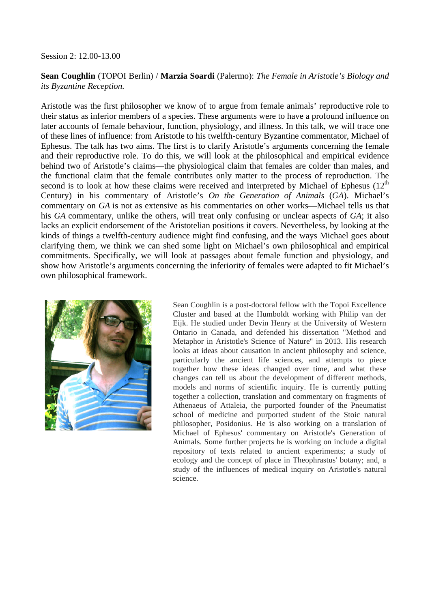#### Session 2: 12.00-13.00

## **Sean Coughlin** (TOPOI Berlin) / **Marzia Soardi** (Palermo): *The Female in Aristotle's Biology and its Byzantine Reception.*

Aristotle was the first philosopher we know of to argue from female animals' reproductive role to their status as inferior members of a species. These arguments were to have a profound influence on later accounts of female behaviour, function, physiology, and illness. In this talk, we will trace one of these lines of influence: from Aristotle to his twelfth-century Byzantine commentator, Michael of Ephesus. The talk has two aims. The first is to clarify Aristotle's arguments concerning the female and their reproductive role. To do this, we will look at the philosophical and empirical evidence behind two of Aristotle's claims—the physiological claim that females are colder than males, and the functional claim that the female contributes only matter to the process of reproduction. The second is to look at how these claims were received and interpreted by Michael of Ephesus  $(12<sup>th</sup>$ Century) in his commentary of Aristotle's *On the Generation of Animals* (*GA*). Michael's commentary on *GA* is not as extensive as his commentaries on other works—Michael tells us that his *GA* commentary, unlike the others, will treat only confusing or unclear aspects of *GA*; it also lacks an explicit endorsement of the Aristotelian positions it covers. Nevertheless, by looking at the kinds of things a twelfth-century audience might find confusing, and the ways Michael goes about clarifying them, we think we can shed some light on Michael's own philosophical and empirical commitments. Specifically, we will look at passages about female function and physiology, and show how Aristotle's arguments concerning the inferiority of females were adapted to fit Michael's own philosophical framework.



Sean Coughlin is a post-doctoral fellow with the Topoi Excellence Cluster and based at the Humboldt working with Philip van der Eijk. He studied under Devin Henry at the University of Western Ontario in Canada, and defended his dissertation "Method and Metaphor in Aristotle's Science of Nature" in 2013. His research looks at ideas about causation in ancient philosophy and science, particularly the ancient life sciences, and attempts to piece together how these ideas changed over time, and what these changes can tell us about the development of different methods, models and norms of scientific inquiry. He is currently putting together a collection, translation and commentary on fragments of Athenaeus of Attaleia, the purported founder of the Pneumatist school of medicine and purported student of the Stoic natural philosopher, Posidonius. He is also working on a translation of Michael of Ephesus' commentary on Aristotle's Generation of Animals. Some further projects he is working on include a digital repository of texts related to ancient experiments; a study of ecology and the concept of place in Theophrastus' botany; and, a study of the influences of medical inquiry on Aristotle's natural science.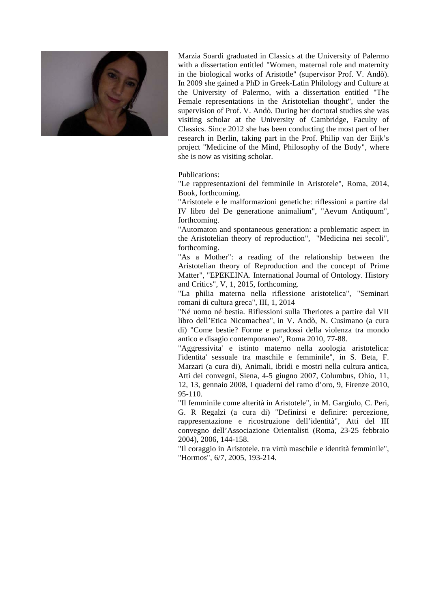

Marzia Soardi graduated in Classics at the University of Palermo with a dissertation entitled "Women, maternal role and maternity in the biological works of Aristotle" (supervisor Prof. V. Andò). In 2009 she gained a PhD in Greek-Latin Philology and Culture at the University of Palermo, with a dissertation entitled "The Female representations in the Aristotelian thought", under the supervision of Prof. V. Andò. During her doctoral studies she was visiting scholar at the University of Cambridge, Faculty of Classics. Since 2012 she has been conducting the most part of her research in Berlin, taking part in the Prof. Philip van der Eijk's project "Medicine of the Mind, Philosophy of the Body", where she is now as visiting scholar.

Publications:

"Le rappresentazioni del femminile in Aristotele", Roma, 2014, Book, forthcoming.

"Aristotele e le malformazioni genetiche: riflessioni a partire dal IV libro del De generatione animalium", "Aevum Antiquum", forthcoming.

"Automaton and spontaneous generation: a problematic aspect in the Aristotelian theory of reproduction", "Medicina nei secoli", forthcoming.

"As a Mother": a reading of the relationship between the Aristotelian theory of Reproduction and the concept of Prime Matter", "EPEKEINA. International Journal of Ontology. History and Critics", V, 1, 2015, forthcoming.

"La philia materna nella riflessione aristotelica", "Seminari romani di cultura greca", III, 1, 2014

"Né uomo né bestia. Riflessioni sulla Theriotes a partire dal VII libro dell'Etica Nicomachea", in V. Andò, N. Cusimano (a cura di) "Come bestie? Forme e paradossi della violenza tra mondo antico e disagio contemporaneo"*,* Roma 2010, 77-88.

"Aggressivita' e istinto materno nella zoologia aristotelica: l'identita' sessuale tra maschile e femminile", in S. Beta, F. Marzari (a cura di), Animali, ibridi e mostri nella cultura antica, Atti dei convegni, Siena, 4-5 giugno 2007, Columbus, Ohio, 11, 12, 13, gennaio 2008, I quaderni del ramo d'oro, 9, Firenze 2010, 95-110.

"Il femminile come alterità in Aristotele", in M. Gargiulo, C. Peri, G. R Regalzi (a cura di) "Definirsi e definire: percezione, rappresentazione e ricostruzione dell'identità", Atti del III convegno dell'Associazione Orientalisti (Roma, 23-25 febbraio 2004), 2006, 144-158.

"Il coraggio in Aristotele. tra virtù maschile e identità femminile", "Hormos", 6/7, 2005, 193-214.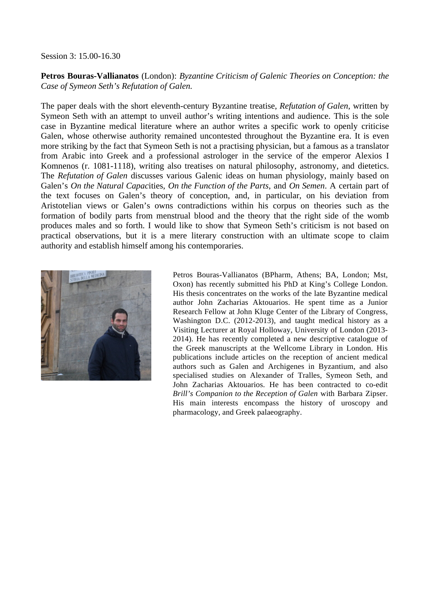Session 3: 15.00-16.30

**Petros Bouras-Vallianatos** (London): *Byzantine Criticism of Galenic Theories on Conception: the Case of Symeon Seth's Refutation of Galen.*

The paper deals with the short eleventh-century Byzantine treatise, *Refutation of Galen*, written by Symeon Seth with an attempt to unveil author's writing intentions and audience. This is the sole case in Byzantine medical literature where an author writes a specific work to openly criticise Galen, whose otherwise authority remained uncontested throughout the Byzantine era. It is even more striking by the fact that Symeon Seth is not a practising physician, but a famous as a translator from Arabic into Greek and a professional astrologer in the service of the emperor Alexios I Komnenos (r. 1081-1118), writing also treatises on natural philosophy, astronomy, and dietetics. The *Refutation of Galen* discusses various Galenic ideas on human physiology, mainly based on Galen's *On the Natural Capac*ities, *On the Function of the Parts*, and *On Semen*. A certain part of the text focuses on Galen's theory of conception, and, in particular, on his deviation from Aristotelian views or Galen's owns contradictions within his corpus on theories such as the formation of bodily parts from menstrual blood and the theory that the right side of the womb produces males and so forth. I would like to show that Symeon Seth's criticism is not based on practical observations, but it is a mere literary construction with an ultimate scope to claim authority and establish himself among his contemporaries.



Petros Bouras-Vallianatos (BPharm, Athens; BA, London; Mst, Oxon) has recently submitted his PhD at King's College London. His thesis concentrates on the works of the late Byzantine medical author John Zacharias Aktouarios. He spent time as a Junior Research Fellow at John Kluge Center of the Library of Congress, Washington D.C. (2012-2013), and taught medical history as a Visiting Lecturer at Royal Holloway, University of London (2013- 2014). He has recently completed a new descriptive catalogue of the Greek manuscripts at the Wellcome Library in London. His publications include articles on the reception of ancient medical authors such as Galen and Archigenes in Byzantium, and also specialised studies on Alexander of Tralles, Symeon Seth, and John Zacharias Aktouarios. He has been contracted to co-edit *Brill's Companion to the Reception of Galen* with Barbara Zipser. His main interests encompass the history of uroscopy and pharmacology, and Greek palaeography.